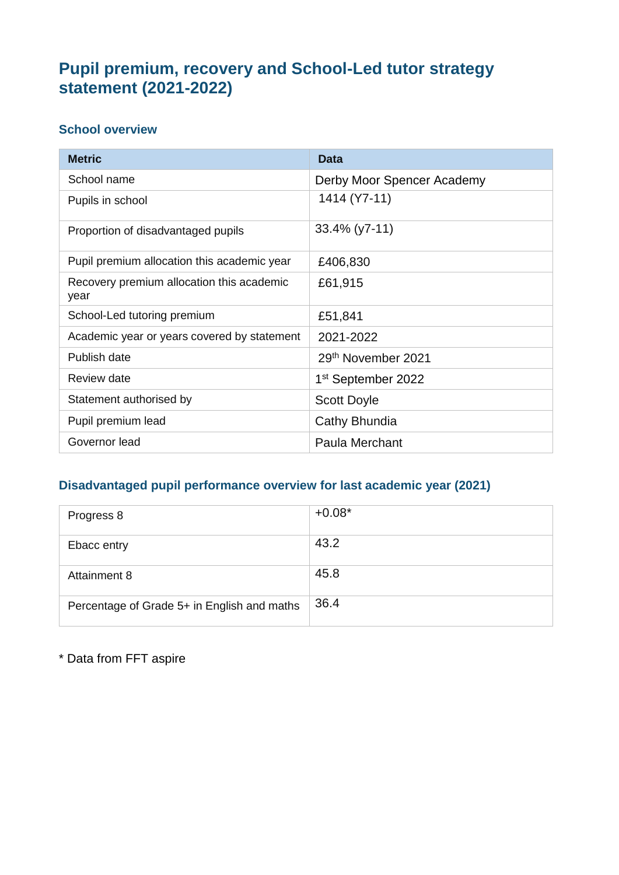# **Pupil premium, recovery and School-Led tutor strategy statement (2021-2022)**

#### **School overview**

| <b>Metric</b>                                     | Data                           |
|---------------------------------------------------|--------------------------------|
| School name                                       | Derby Moor Spencer Academy     |
| Pupils in school                                  | 1414 (Y7-11)                   |
| Proportion of disadvantaged pupils                | $33.4\%$ (y7-11)               |
| Pupil premium allocation this academic year       | £406,830                       |
| Recovery premium allocation this academic<br>year | £61,915                        |
| School-Led tutoring premium                       | £51,841                        |
| Academic year or years covered by statement       | 2021-2022                      |
| Publish date                                      | 29th November 2021             |
| <b>Review date</b>                                | 1 <sup>st</sup> September 2022 |
| Statement authorised by                           | <b>Scott Doyle</b>             |
| Pupil premium lead                                | Cathy Bhundia                  |
| Governor lead                                     | Paula Merchant                 |

### **Disadvantaged pupil performance overview for last academic year (2021)**

| Progress 8                                  | $+0.08*$ |
|---------------------------------------------|----------|
| Ebacc entry                                 | 43.2     |
| Attainment 8                                | 45.8     |
| Percentage of Grade 5+ in English and maths | 36.4     |

\* Data from FFT aspire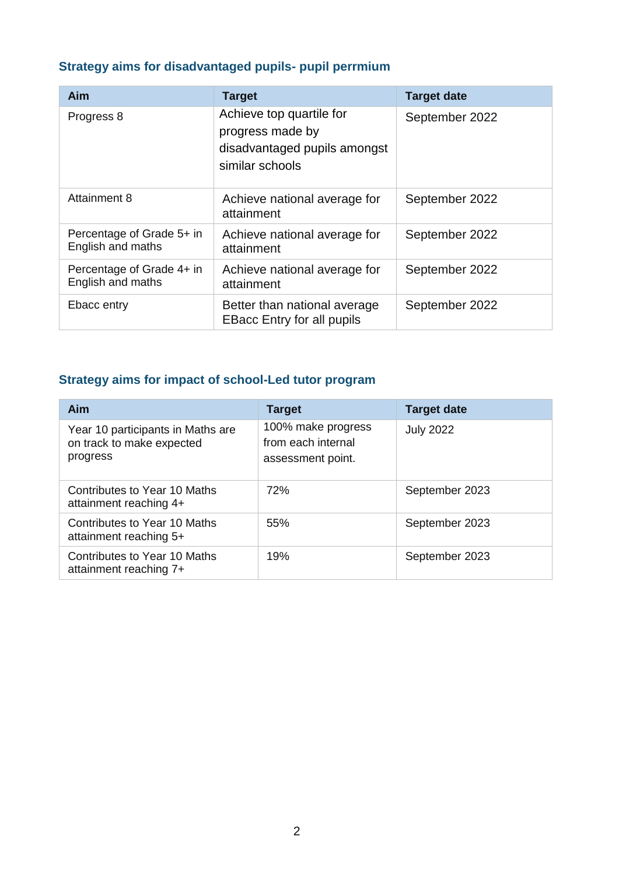## **Strategy aims for disadvantaged pupils- pupil perrmium**

| <b>Aim</b>                                     | <b>Target</b>                                                                                   | <b>Target date</b> |
|------------------------------------------------|-------------------------------------------------------------------------------------------------|--------------------|
| Progress 8                                     | Achieve top quartile for<br>progress made by<br>disadvantaged pupils amongst<br>similar schools | September 2022     |
| <b>Attainment 8</b>                            | Achieve national average for<br>attainment                                                      | September 2022     |
| Percentage of Grade 5+ in<br>English and maths | Achieve national average for<br>attainment                                                      | September 2022     |
| Percentage of Grade 4+ in<br>English and maths | Achieve national average for<br>attainment                                                      | September 2022     |
| Ebacc entry                                    | Better than national average<br><b>EBacc Entry for all pupils</b>                               | September 2022     |

# **Strategy aims for impact of school-Led tutor program**

| Aim                                                                        | <b>Target</b>                                                 | <b>Target date</b> |
|----------------------------------------------------------------------------|---------------------------------------------------------------|--------------------|
| Year 10 participants in Maths are<br>on track to make expected<br>progress | 100% make progress<br>from each internal<br>assessment point. | <b>July 2022</b>   |
| Contributes to Year 10 Maths<br>attainment reaching 4+                     | <b>72%</b>                                                    | September 2023     |
| Contributes to Year 10 Maths<br>attainment reaching 5+                     | 55%                                                           | September 2023     |
| Contributes to Year 10 Maths<br>attainment reaching 7+                     | 19%                                                           | September 2023     |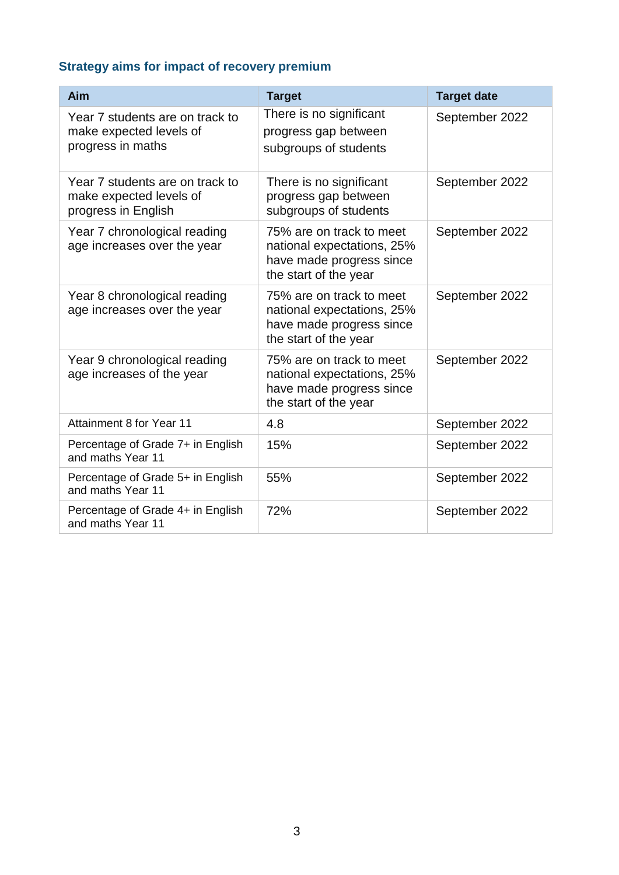## **Strategy aims for impact of recovery premium**

| Aim                                                                               | <b>Target</b>                                                                                               | <b>Target date</b> |
|-----------------------------------------------------------------------------------|-------------------------------------------------------------------------------------------------------------|--------------------|
| Year 7 students are on track to<br>make expected levels of<br>progress in maths   | There is no significant<br>progress gap between<br>subgroups of students                                    | September 2022     |
| Year 7 students are on track to<br>make expected levels of<br>progress in English | There is no significant<br>progress gap between<br>subgroups of students                                    | September 2022     |
| Year 7 chronological reading<br>age increases over the year                       | 75% are on track to meet<br>national expectations, 25%<br>have made progress since<br>the start of the year | September 2022     |
| Year 8 chronological reading<br>age increases over the year                       | 75% are on track to meet<br>national expectations, 25%<br>have made progress since<br>the start of the year | September 2022     |
| Year 9 chronological reading<br>age increases of the year                         | 75% are on track to meet<br>national expectations, 25%<br>have made progress since<br>the start of the year | September 2022     |
| Attainment 8 for Year 11                                                          | 4.8                                                                                                         | September 2022     |
| Percentage of Grade 7+ in English<br>and maths Year 11                            | 15%                                                                                                         | September 2022     |
| Percentage of Grade 5+ in English<br>and maths Year 11                            | 55%                                                                                                         | September 2022     |
| Percentage of Grade 4+ in English<br>and maths Year 11                            | 72%                                                                                                         | September 2022     |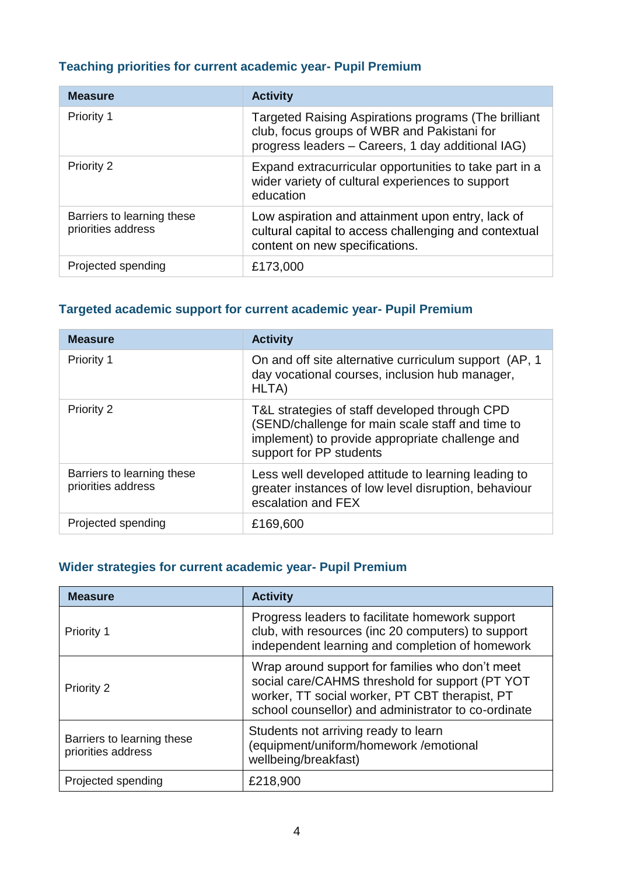#### **Teaching priorities for current academic year- Pupil Premium**

| <b>Measure</b>                                   | <b>Activity</b>                                                                                                                                          |
|--------------------------------------------------|----------------------------------------------------------------------------------------------------------------------------------------------------------|
| Priority 1                                       | Targeted Raising Aspirations programs (The brilliant<br>club, focus groups of WBR and Pakistani for<br>progress leaders - Careers, 1 day additional IAG) |
| <b>Priority 2</b>                                | Expand extracurricular opportunities to take part in a<br>wider variety of cultural experiences to support<br>education                                  |
| Barriers to learning these<br>priorities address | Low aspiration and attainment upon entry, lack of<br>cultural capital to access challenging and contextual<br>content on new specifications.             |
| Projected spending                               | £173,000                                                                                                                                                 |

#### **Targeted academic support for current academic year- Pupil Premium**

| <b>Measure</b>                                   | <b>Activity</b>                                                                                                                                                                 |
|--------------------------------------------------|---------------------------------------------------------------------------------------------------------------------------------------------------------------------------------|
| Priority 1                                       | On and off site alternative curriculum support (AP, 1)<br>day vocational courses, inclusion hub manager,<br>HLTA)                                                               |
| <b>Priority 2</b>                                | T&L strategies of staff developed through CPD<br>(SEND/challenge for main scale staff and time to<br>implement) to provide appropriate challenge and<br>support for PP students |
| Barriers to learning these<br>priorities address | Less well developed attitude to learning leading to<br>greater instances of low level disruption, behaviour<br>escalation and FEX                                               |
| Projected spending                               | £169,600                                                                                                                                                                        |

#### **Wider strategies for current academic year- Pupil Premium**

| <b>Measure</b>                                   | <b>Activity</b>                                                                                                                                                                                             |
|--------------------------------------------------|-------------------------------------------------------------------------------------------------------------------------------------------------------------------------------------------------------------|
| <b>Priority 1</b>                                | Progress leaders to facilitate homework support<br>club, with resources (inc 20 computers) to support<br>independent learning and completion of homework                                                    |
| Priority 2                                       | Wrap around support for families who don't meet<br>social care/CAHMS threshold for support (PT YOT<br>worker, TT social worker, PT CBT therapist, PT<br>school counsellor) and administrator to co-ordinate |
| Barriers to learning these<br>priorities address | Students not arriving ready to learn<br>(equipment/uniform/homework /emotional<br>wellbeing/breakfast)                                                                                                      |
| Projected spending                               | £218,900                                                                                                                                                                                                    |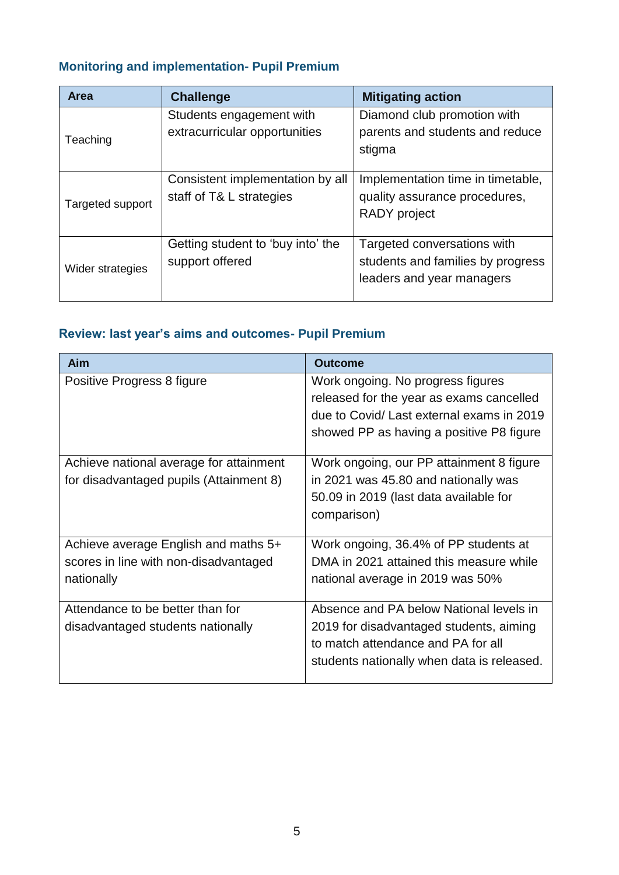## **Monitoring and implementation- Pupil Premium**

| <b>Area</b>      | <b>Challenge</b>                                             | <b>Mitigating action</b>                                                                      |
|------------------|--------------------------------------------------------------|-----------------------------------------------------------------------------------------------|
| Teaching         | Students engagement with<br>extracurricular opportunities    | Diamond club promotion with<br>parents and students and reduce<br>stigma                      |
| Targeted support | Consistent implementation by all<br>staff of T& L strategies | Implementation time in timetable,<br>quality assurance procedures,<br><b>RADY</b> project     |
| Wider strategies | Getting student to 'buy into' the<br>support offered         | Targeted conversations with<br>students and families by progress<br>leaders and year managers |

## **Review: last year's aims and outcomes- Pupil Premium**

| <b>Aim</b>                                                                                  | <b>Outcome</b>                                                                                                                                                         |
|---------------------------------------------------------------------------------------------|------------------------------------------------------------------------------------------------------------------------------------------------------------------------|
| Positive Progress 8 figure                                                                  | Work ongoing. No progress figures<br>released for the year as exams cancelled<br>due to Covid/ Last external exams in 2019<br>showed PP as having a positive P8 figure |
| Achieve national average for attainment<br>for disadvantaged pupils (Attainment 8)          | Work ongoing, our PP attainment 8 figure<br>in 2021 was 45.80 and nationally was<br>50.09 in 2019 (last data available for<br>comparison)                              |
| Achieve average English and maths 5+<br>scores in line with non-disadvantaged<br>nationally | Work ongoing, 36.4% of PP students at<br>DMA in 2021 attained this measure while<br>national average in 2019 was 50%                                                   |
| Attendance to be better than for<br>disadvantaged students nationally                       | Absence and PA below National levels in<br>2019 for disadvantaged students, aiming<br>to match attendance and PA for all<br>students nationally when data is released. |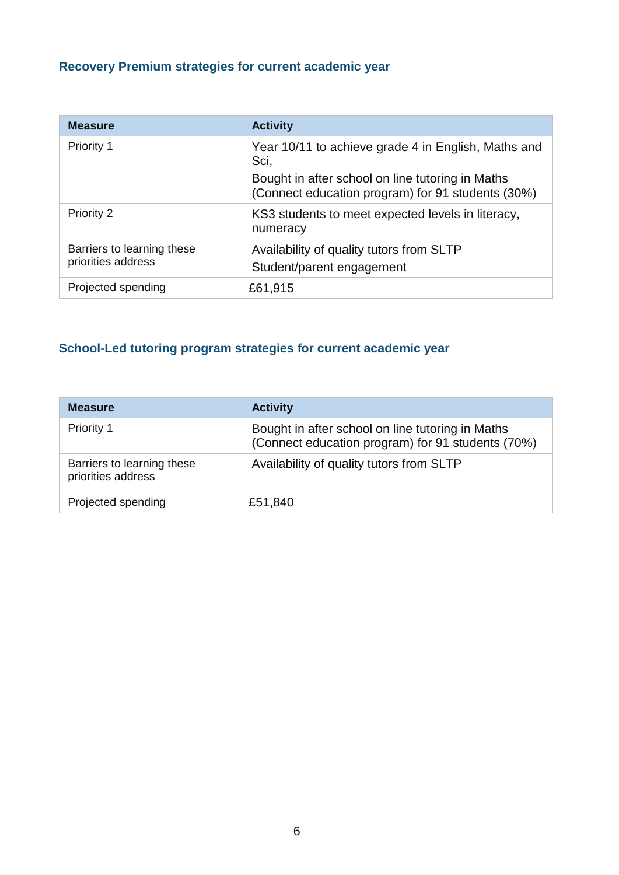## **Recovery Premium strategies for current academic year**

| <b>Measure</b>                                   | <b>Activity</b>                                                                                       |
|--------------------------------------------------|-------------------------------------------------------------------------------------------------------|
| Priority 1                                       | Year 10/11 to achieve grade 4 in English, Maths and<br>Sci,                                           |
|                                                  | Bought in after school on line tutoring in Maths<br>(Connect education program) for 91 students (30%) |
| <b>Priority 2</b>                                | KS3 students to meet expected levels in literacy,<br>numeracy                                         |
| Barriers to learning these<br>priorities address | Availability of quality tutors from SLTP<br>Student/parent engagement                                 |
| Projected spending                               | £61,915                                                                                               |

#### **School-Led tutoring program strategies for current academic year**

| <b>Measure</b>                                   | <b>Activity</b>                                                                                       |
|--------------------------------------------------|-------------------------------------------------------------------------------------------------------|
| Priority 1                                       | Bought in after school on line tutoring in Maths<br>(Connect education program) for 91 students (70%) |
| Barriers to learning these<br>priorities address | Availability of quality tutors from SLTP                                                              |
| Projected spending                               | £51,840                                                                                               |